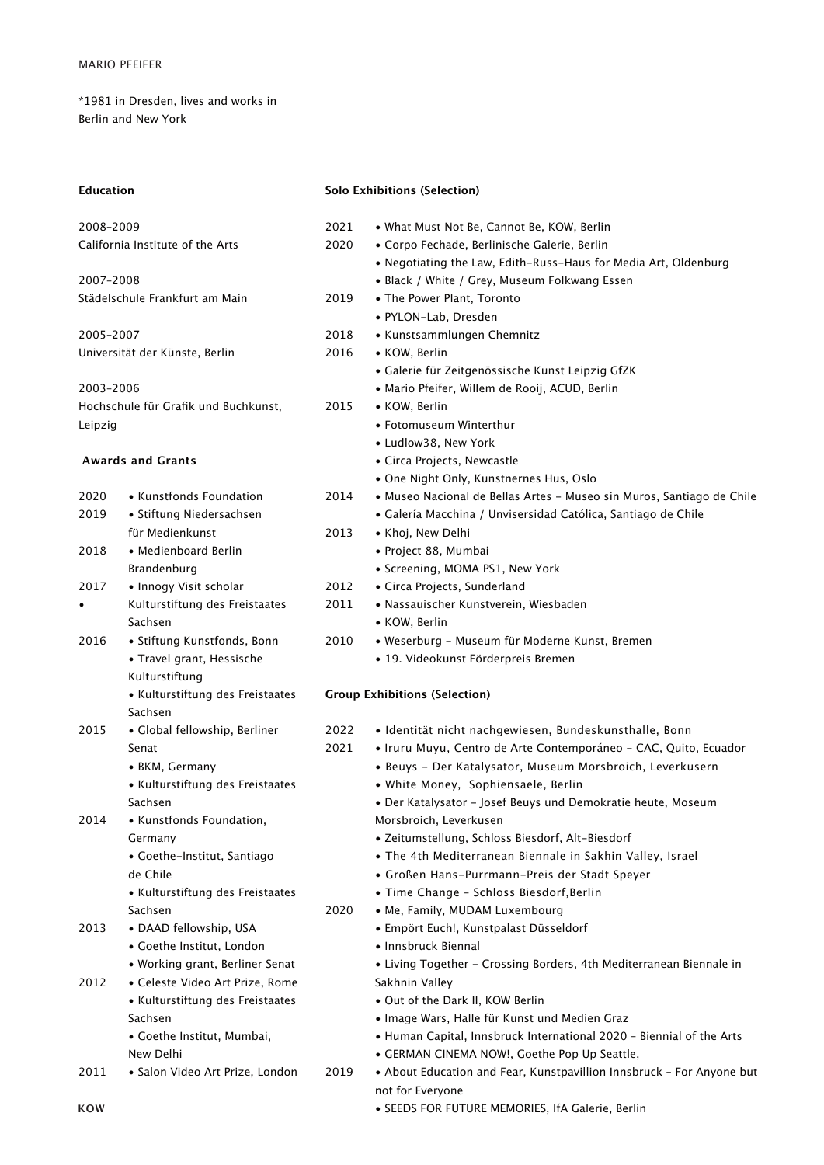\*1981 in Dresden, lives and works in Berlin and New York

| Education |
|-----------|
|-----------|

## **Solo Exhibitions (Selection)**

| 2008-2009 |                                      | 2021 | • What Must Not Be, Cannot Be, KOW, Berlin                            |
|-----------|--------------------------------------|------|-----------------------------------------------------------------------|
|           | California Institute of the Arts     | 2020 | • Corpo Fechade, Berlinische Galerie, Berlin                          |
|           |                                      |      | . Negotiating the Law, Edith-Russ-Haus for Media Art, Oldenburg       |
| 2007-2008 |                                      |      | • Black / White / Grey, Museum Folkwang Essen                         |
|           | Städelschule Frankfurt am Main       | 2019 | • The Power Plant, Toronto                                            |
|           |                                      |      | · PYLON-Lab, Dresden                                                  |
| 2005-2007 |                                      | 2018 | • Kunstsammlungen Chemnitz                                            |
|           | Universität der Künste, Berlin       | 2016 | • KOW, Berlin                                                         |
|           |                                      |      | • Galerie für Zeitgenössische Kunst Leipzig GfZK                      |
| 2003-2006 |                                      |      | · Mario Pfeifer, Willem de Rooij, ACUD, Berlin                        |
|           | Hochschule für Grafik und Buchkunst, | 2015 | • KOW, Berlin                                                         |
| Leipzig   |                                      |      | • Fotomuseum Winterthur                                               |
|           |                                      |      | • Ludlow38, New York                                                  |
|           | <b>Awards and Grants</b>             |      | • Circa Projects, Newcastle                                           |
|           |                                      |      | • One Night Only, Kunstnernes Hus, Oslo                               |
| 2020      | • Kunstfonds Foundation              | 2014 | • Museo Nacional de Bellas Artes - Museo sin Muros, Santiago de Chile |
| 2019      | • Stiftung Niedersachsen             |      | • Galería Macchina / Unvisersidad Católica, Santiago de Chile         |
|           | für Medienkunst                      | 2013 | • Khoj, New Delhi                                                     |
| 2018      | • Medienboard Berlin                 |      | · Project 88, Mumbai                                                  |
|           | Brandenburg                          |      | • Screening, MOMA PS1, New York                                       |
| 2017      | • Innogy Visit scholar               | 2012 | • Circa Projects, Sunderland                                          |
| $\bullet$ | Kulturstiftung des Freistaates       | 2011 | • Nassauischer Kunstverein, Wiesbaden                                 |
|           | Sachsen                              |      | • KOW, Berlin                                                         |
| 2016      | • Stiftung Kunstfonds, Bonn          | 2010 | • Weserburg - Museum für Moderne Kunst, Bremen                        |
|           | • Travel grant, Hessische            |      | • 19. Videokunst Förderpreis Bremen                                   |
|           | Kulturstiftung                       |      |                                                                       |
|           | • Kulturstiftung des Freistaates     |      | <b>Group Exhibitions (Selection)</b>                                  |
|           | Sachsen                              |      |                                                                       |
| 2015      | • Global fellowship, Berliner        | 2022 | • Identität nicht nachgewiesen, Bundeskunsthalle, Bonn                |
|           | Senat                                | 2021 | • Iruru Muyu, Centro de Arte Contemporáneo - CAC, Quito, Ecuador      |
|           | • BKM, Germany                       |      | · Beuys - Der Katalysator, Museum Morsbroich, Leverkusern             |
|           | • Kulturstiftung des Freistaates     |      | • White Money, Sophiensaele, Berlin                                   |
|           | Sachsen                              |      | • Der Katalysator - Josef Beuys und Demokratie heute, Moseum          |
| 2014      | • Kunstfonds Foundation,             |      | Morsbroich, Leverkusen                                                |
|           | Germany                              |      | · Zeitumstellung, Schloss Biesdorf, Alt-Biesdorf                      |
|           | • Goethe-Institut, Santiago          |      | • The 4th Mediterranean Biennale in Sakhin Valley, Israel             |
|           | de Chile                             |      | • Großen Hans-Purrmann-Preis der Stadt Speyer                         |
|           | • Kulturstiftung des Freistaates     |      | • Time Change - Schloss Biesdorf, Berlin                              |
|           | Sachsen                              | 2020 | • Me, Family, MUDAM Luxembourg                                        |
| 2013      | • DAAD fellowship, USA               |      | · Empört Euch!, Kunstpalast Düsseldorf                                |
|           | • Goethe Institut, London            |      | • Innsbruck Biennal                                                   |
|           | • Working grant, Berliner Senat      |      | • Living Together - Crossing Borders, 4th Mediterranean Biennale in   |
| 2012      | · Celeste Video Art Prize, Rome      |      | Sakhnin Valley                                                        |
|           | • Kulturstiftung des Freistaates     |      | . Out of the Dark II, KOW Berlin                                      |
|           | Sachsen                              |      | • Image Wars, Halle für Kunst und Medien Graz                         |
|           | • Goethe Institut, Mumbai,           |      | • Human Capital, Innsbruck International 2020 - Biennial of the Arts  |
|           | New Delhi                            |      | · GERMAN CINEMA NOW!, Goethe Pop Up Seattle,                          |
| 2011      | • Salon Video Art Prize, London      | 2019 | • About Education and Fear, Kunstpavillion Innsbruck - For Anyone but |
|           |                                      |      | not for Everyone                                                      |
| KOW       |                                      |      | • SEEDS FOR FUTURE MEMORIES, IfA Galerie, Berlin                      |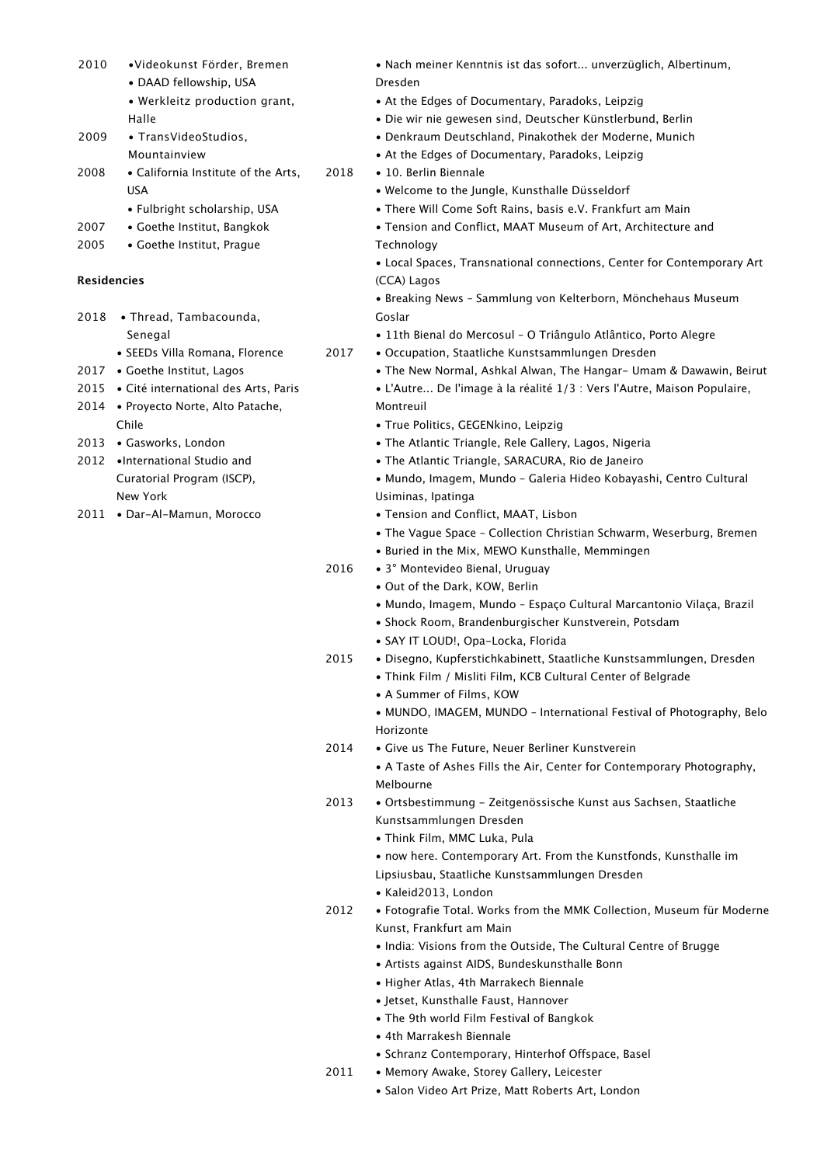| 2010 | ·Videokunst Förder, Bremen                |      | • Nach meiner Kenntnis ist das sofort unverzüglich, Albertinum,         |
|------|-------------------------------------------|------|-------------------------------------------------------------------------|
|      | • DAAD fellowship, USA                    |      | Dresden                                                                 |
|      | • Werkleitz production grant,             |      | • At the Edges of Documentary, Paradoks, Leipzig                        |
|      | Halle                                     |      | · Die wir nie gewesen sind, Deutscher Künstlerbund, Berlin              |
| 2009 | • TransVideoStudios,                      |      | • Denkraum Deutschland, Pinakothek der Moderne, Munich                  |
|      | Mountainview                              |      | • At the Edges of Documentary, Paradoks, Leipzig                        |
| 2008 | • California Institute of the Arts,       | 2018 | • 10. Berlin Biennale                                                   |
|      | <b>USA</b>                                |      | • Welcome to the Jungle, Kunsthalle Düsseldorf                          |
|      | • Fulbright scholarship, USA              |      | • There Will Come Soft Rains, basis e.V. Frankfurt am Main              |
| 2007 | • Goethe Institut, Bangkok                |      | • Tension and Conflict, MAAT Museum of Art, Architecture and            |
| 2005 | • Goethe Institut, Prague                 |      | Technology                                                              |
|      |                                           |      | • Local Spaces, Transnational connections, Center for Contemporary Art  |
|      | <b>Residencies</b>                        |      | (CCA) Lagos                                                             |
|      |                                           |      | • Breaking News - Sammlung von Kelterborn, Mönchehaus Museum            |
| 2018 | • Thread, Tambacounda,                    |      | Goslar                                                                  |
|      | Senegal                                   |      | · 11th Bienal do Mercosul - O Triângulo Atlântico, Porto Alegre         |
|      | • SEEDs Villa Romana, Florence            | 2017 | • Occupation, Staatliche Kunstsammlungen Dresden                        |
| 2017 | • Goethe Institut, Lagos                  |      | . The New Normal, Ashkal Alwan, The Hangar- Umam & Dawawin, Beirut      |
|      | 2015 • Cité international des Arts, Paris |      | • L'Autre De l'image à la réalité 1/3 : Vers l'Autre, Maison Populaire, |
|      | 2014 • Proyecto Norte, Alto Patache,      |      | Montreuil                                                               |
|      | Chile                                     |      |                                                                         |
|      |                                           |      | · True Politics, GEGENkino, Leipzig                                     |
| 2013 | • Gasworks, London                        |      | • The Atlantic Triangle, Rele Gallery, Lagos, Nigeria                   |
| 2012 | •International Studio and                 |      | • The Atlantic Triangle, SARACURA, Rio de Janeiro                       |
|      | Curatorial Program (ISCP),                |      | • Mundo, Imagem, Mundo - Galeria Hideo Kobayashi, Centro Cultural       |
|      | New York                                  |      | Usiminas, Ipatinga                                                      |
|      | 2011 • Dar-Al-Mamun, Morocco              |      | • Tension and Conflict, MAAT, Lisbon                                    |
|      |                                           |      | • The Vague Space - Collection Christian Schwarm, Weserburg, Bremen     |
|      |                                           |      | • Buried in the Mix, MEWO Kunsthalle, Memmingen                         |
|      |                                           | 2016 | • 3° Montevideo Bienal, Uruguay                                         |
|      |                                           |      | • Out of the Dark, KOW, Berlin                                          |
|      |                                           |      | • Mundo, Imagem, Mundo - Espaço Cultural Marcantonio Vilaça, Brazil     |
|      |                                           |      | • Shock Room, Brandenburgischer Kunstverein, Potsdam                    |
|      |                                           |      | · SAY IT LOUD!, Opa-Locka, Florida                                      |
|      |                                           | 2015 | · Disegno, Kupferstichkabinett, Staatliche Kunstsammlungen, Dresden     |
|      |                                           |      | • Think Film / Misliti Film, KCB Cultural Center of Belgrade            |
|      |                                           |      | • A Summer of Films, KOW                                                |
|      |                                           |      | • MUNDO, IMAGEM, MUNDO - International Festival of Photography, Belo    |
|      |                                           |      | Horizonte                                                               |
|      |                                           | 2014 | • Give us The Future, Neuer Berliner Kunstverein                        |
|      |                                           |      | • A Taste of Ashes Fills the Air, Center for Contemporary Photography,  |
|      |                                           |      | Melbourne                                                               |
|      |                                           | 2013 | • Ortsbestimmung - Zeitgenössische Kunst aus Sachsen, Staatliche        |
|      |                                           |      | Kunstsammlungen Dresden                                                 |
|      |                                           |      | • Think Film, MMC Luka, Pula                                            |
|      |                                           |      | • now here. Contemporary Art. From the Kunstfonds, Kunsthalle im        |
|      |                                           |      | Lipsiusbau, Staatliche Kunstsammlungen Dresden                          |
|      |                                           |      | • Kaleid2013, London                                                    |
|      |                                           | 2012 | • Fotografie Total. Works from the MMK Collection, Museum für Moderne   |
|      |                                           |      | Kunst, Frankfurt am Main                                                |
|      |                                           |      | • India: Visions from the Outside, The Cultural Centre of Brugge        |
|      |                                           |      | • Artists against AIDS, Bundeskunsthalle Bonn                           |
|      |                                           |      | · Higher Atlas, 4th Marrakech Biennale                                  |
|      |                                           |      | • Jetset, Kunsthalle Faust, Hannover                                    |
|      |                                           |      | • The 9th world Film Festival of Bangkok                                |
|      |                                           |      | • 4th Marrakesh Biennale                                                |
|      |                                           |      | • Schranz Contemporary, Hinterhof Offspace, Basel                       |
|      |                                           | 2011 | • Memory Awake, Storey Gallery, Leicester                               |
|      |                                           |      | • Salon Video Art Prize, Matt Roberts Art, London                       |
|      |                                           |      |                                                                         |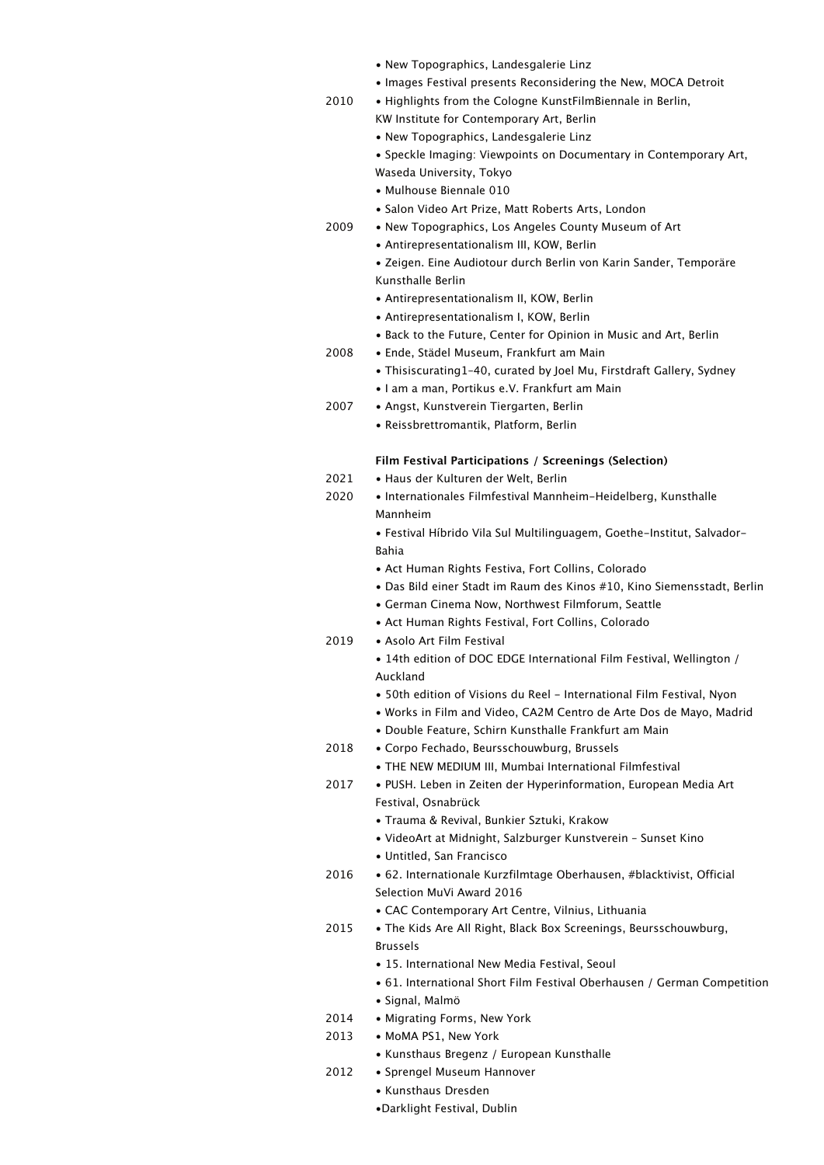|              | • New Topographics, Landesgalerie Linz                                                                                                      |
|--------------|---------------------------------------------------------------------------------------------------------------------------------------------|
|              | • Images Festival presents Reconsidering the New, MOCA Detroit                                                                              |
| 2010         | • Highlights from the Cologne KunstFilmBiennale in Berlin,                                                                                  |
|              | KW Institute for Contemporary Art, Berlin                                                                                                   |
|              | • New Topographics, Landesgalerie Linz                                                                                                      |
|              | • Speckle Imaging: Viewpoints on Documentary in Contemporary Art,                                                                           |
|              | Waseda University, Tokyo<br>• Mulhouse Biennale 010                                                                                         |
|              | • Salon Video Art Prize, Matt Roberts Arts, London                                                                                          |
| 2009         | • New Topographics, Los Angeles County Museum of Art                                                                                        |
|              | • Antirepresentationalism III, KOW, Berlin                                                                                                  |
|              | • Zeigen. Eine Audiotour durch Berlin von Karin Sander, Temporäre                                                                           |
|              | Kunsthalle Berlin                                                                                                                           |
|              | • Antirepresentationalism II, KOW, Berlin                                                                                                   |
|              | • Antirepresentationalism I, KOW, Berlin                                                                                                    |
|              | • Back to the Future, Center for Opinion in Music and Art, Berlin                                                                           |
| 2008         | • Ende, Städel Museum, Frankfurt am Main<br>• Thisiscurating 1-40, curated by Joel Mu, Firstdraft Gallery, Sydney                           |
|              | • I am a man, Portikus e.V. Frankfurt am Main                                                                                               |
| 2007         | • Angst, Kunstverein Tiergarten, Berlin                                                                                                     |
|              | • Reissbrettromantik, Platform, Berlin                                                                                                      |
|              |                                                                                                                                             |
|              | Film Festival Participations / Screenings (Selection)                                                                                       |
| 2021         | • Haus der Kulturen der Welt, Berlin                                                                                                        |
| 2020         | • Internationales Filmfestival Mannheim-Heidelberg, Kunsthalle                                                                              |
|              | Mannheim<br>• Festival Híbrido Vila Sul Multilinguagem, Goethe-Institut, Salvador-                                                          |
|              | Bahia                                                                                                                                       |
|              | • Act Human Rights Festiva, Fort Collins, Colorado                                                                                          |
|              | • Das Bild einer Stadt im Raum des Kinos #10, Kino Siemensstadt, Berlin                                                                     |
|              | • German Cinema Now, Northwest Filmforum, Seattle                                                                                           |
|              | • Act Human Rights Festival, Fort Collins, Colorado                                                                                         |
| 2019         | • Asolo Art Film Festival                                                                                                                   |
|              | • 14th edition of DOC EDGE International Film Festival, Wellington /                                                                        |
|              | Auckland                                                                                                                                    |
|              | • 50th edition of Visions du Reel - International Film Festival, Nyon<br>• Works in Film and Video, CA2M Centro de Arte Dos de Mayo, Madrid |
|              | • Double Feature, Schirn Kunsthalle Frankfurt am Main                                                                                       |
| 2018         | • Corpo Fechado, Beursschouwburg, Brussels                                                                                                  |
|              | • THE NEW MEDIUM III, Mumbai International Filmfestival                                                                                     |
| 2017         | • PUSH. Leben in Zeiten der Hyperinformation, European Media Art                                                                            |
|              | Festival, Osnabrück                                                                                                                         |
|              | • Trauma & Revival, Bunkier Sztuki, Krakow                                                                                                  |
|              | • VideoArt at Midnight, Salzburger Kunstverein - Sunset Kino<br>• Untitled, San Francisco                                                   |
| 2016         | • 62. Internationale Kurzfilmtage Oberhausen, #blacktivist, Official                                                                        |
|              | Selection MuVi Award 2016                                                                                                                   |
|              | • CAC Contemporary Art Centre, Vilnius, Lithuania                                                                                           |
| 2015         | . The Kids Are All Right, Black Box Screenings, Beursschouwburg,                                                                            |
|              | <b>Brussels</b>                                                                                                                             |
|              | $\bullet$ 15. International New Media Festival, Seoul                                                                                       |
|              | • 61. International Short Film Festival Oberhausen / German Competition                                                                     |
|              | • Signal, Malmö                                                                                                                             |
| 2014<br>2013 | • Migrating Forms, New York<br>• MoMA PS1, New York                                                                                         |
|              | • Kunsthaus Bregenz / European Kunsthalle                                                                                                   |
| 2012         | • Sprengel Museum Hannover                                                                                                                  |
|              | • Kunsthaus Dresden                                                                                                                         |
|              | •Darklight Festival, Dublin                                                                                                                 |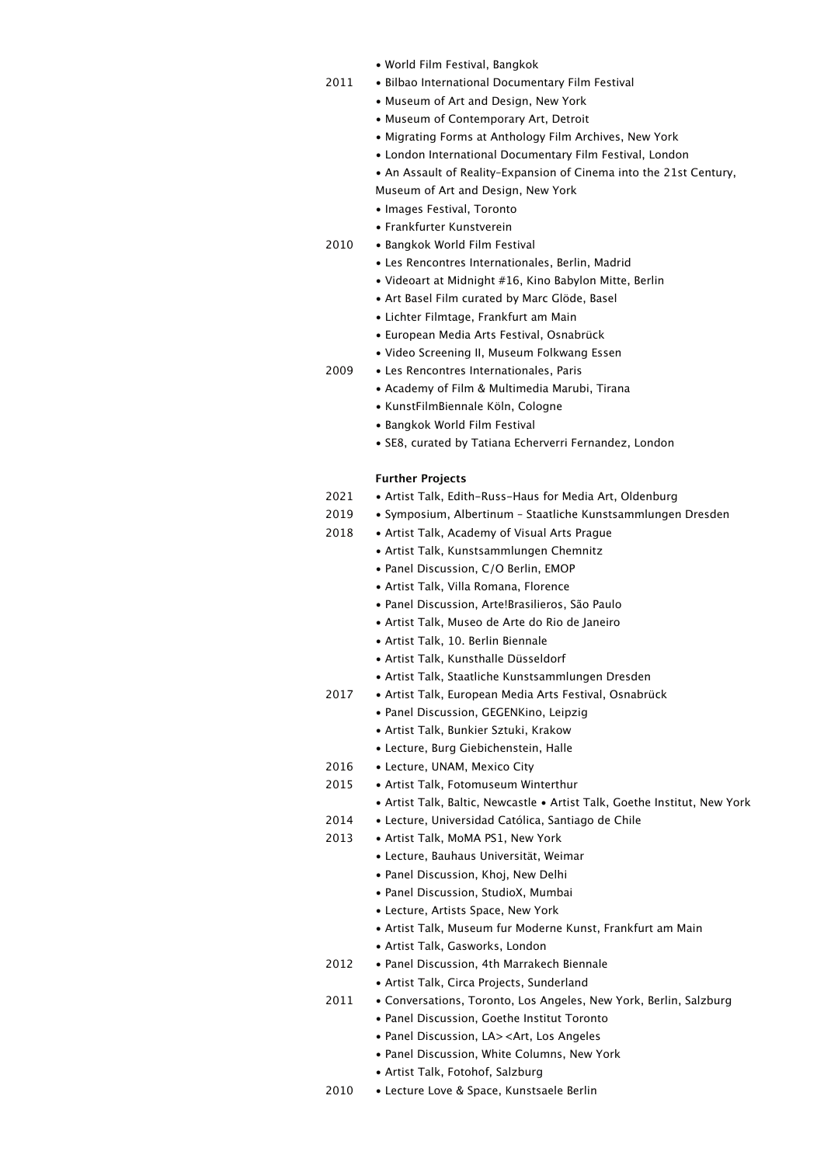- World Film Festival, Bangkok
- 2011 Bilbao International Documentary Film Festival
	- Museum of Art and Design, New York
	- Museum of Contemporary Art, Detroit
	- Migrating Forms at Anthology Film Archives, New York
	- London International Documentary Film Festival, London
	- An Assault of Reality–Expansion of Cinema into the 21st Century,
	- Museum of Art and Design, New York
	- Images Festival, Toronto
	- Frankfurter Kunstverein
- 2010 Bangkok World Film Festival
	- Les Rencontres Internationales, Berlin, Madrid
	- Videoart at Midnight #16, Kino Babylon Mitte, Berlin
	- Art Basel Film curated by Marc Glöde, Basel
	- Lichter Filmtage, Frankfurt am Main
	- European Media Arts Festival, Osnabrück
	- Video Screening II, Museum Folkwang Essen
- 2009 Les Rencontres Internationales, Paris
	- Academy of Film & Multimedia Marubi, Tirana
	- KunstFilmBiennale Köln, Cologne
	- Bangkok World Film Festival
	- SE8, curated by Tatiana Echerverri Fernandez, London

## **Further Projects**

| 2021 | • Artist Talk, Edith-Russ-Haus for Media Art, Oldenburg                   |
|------|---------------------------------------------------------------------------|
| 2019 | • Symposium, Albertinum - Staatliche Kunstsammlungen Dresden              |
| 2018 | • Artist Talk, Academy of Visual Arts Prague                              |
|      | • Artist Talk, Kunstsammlungen Chemnitz                                   |
|      | • Panel Discussion, C/O Berlin, EMOP                                      |
|      | • Artist Talk, Villa Romana, Florence                                     |
|      | • Panel Discussion, Arte!Brasilieros, São Paulo                           |
|      | • Artist Talk, Museo de Arte do Rio de Janeiro                            |
|      | • Artist Talk, 10. Berlin Biennale                                        |
|      | • Artist Talk, Kunsthalle Düsseldorf                                      |
|      | • Artist Talk, Staatliche Kunstsammlungen Dresden                         |
| 2017 | • Artist Talk, European Media Arts Festival, Osnabrück                    |
|      | • Panel Discussion, GEGENKino, Leipzig                                    |
|      | • Artist Talk, Bunkier Sztuki, Krakow                                     |
|      | • Lecture, Burg Giebichenstein, Halle                                     |
| 2016 | • Lecture, UNAM, Mexico City                                              |
| 2015 | • Artist Talk, Fotomuseum Winterthur                                      |
|      | • Artist Talk, Baltic, Newcastle • Artist Talk, Goethe Institut, New York |
| 2014 | • Lecture, Universidad Católica, Santiago de Chile                        |
| 2013 | • Artist Talk, MoMA PS1, New York                                         |
|      | • Lecture, Bauhaus Universität, Weimar                                    |
|      | • Panel Discussion, Khoj, New Delhi                                       |
|      | • Panel Discussion, StudioX, Mumbai                                       |
|      | • Lecture, Artists Space, New York                                        |
|      | • Artist Talk, Museum fur Moderne Kunst, Frankfurt am Main                |
|      | • Artist Talk, Gasworks, London                                           |
| 2012 | • Panel Discussion, 4th Marrakech Biennale                                |
|      | • Artist Talk, Circa Projects, Sunderland                                 |
| 2011 | • Conversations, Toronto, Los Angeles, New York, Berlin, Salzburg         |
|      | • Panel Discussion, Goethe Institut Toronto                               |
|      | • Panel Discussion, LA> <art, angeles<="" los="" td=""></art,>            |
|      | • Panel Discussion, White Columns, New York                               |
|      | • Artist Talk, Fotohof, Salzburg                                          |
| 2010 | • Lecture Love & Space, Kunstsaele Berlin                                 |